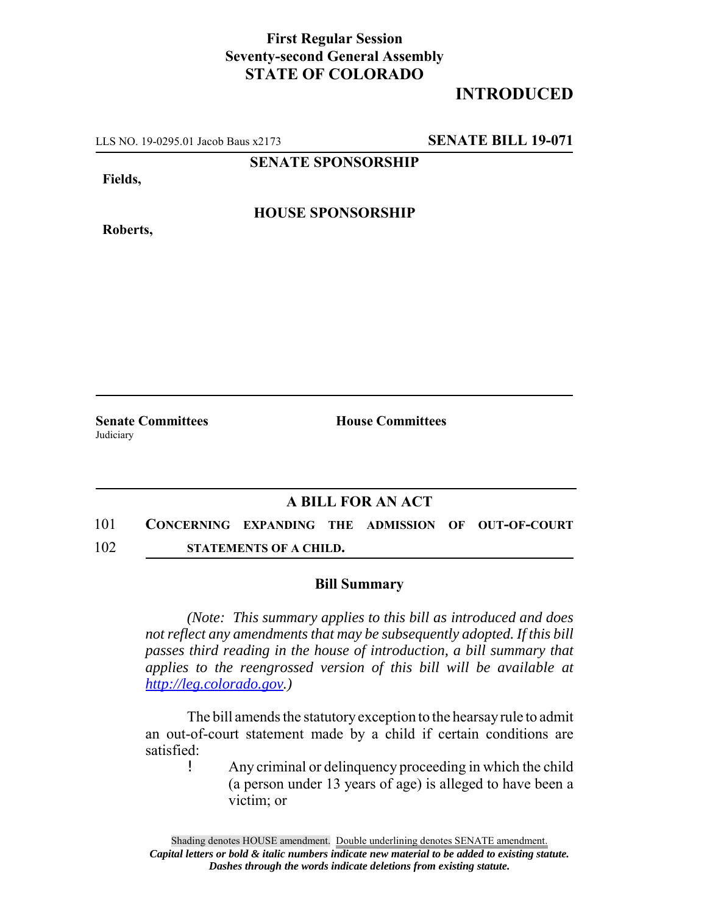## **First Regular Session Seventy-second General Assembly STATE OF COLORADO**

## **INTRODUCED**

LLS NO. 19-0295.01 Jacob Baus x2173 **SENATE BILL 19-071**

**SENATE SPONSORSHIP**

**Fields,**

**Roberts,**

**HOUSE SPONSORSHIP**

**Senate Committees House Committees** Judiciary

## **A BILL FOR AN ACT**

101 **CONCERNING EXPANDING THE ADMISSION OF OUT-OF-COURT** 102 **STATEMENTS OF A CHILD.**

## **Bill Summary**

*(Note: This summary applies to this bill as introduced and does not reflect any amendments that may be subsequently adopted. If this bill passes third reading in the house of introduction, a bill summary that applies to the reengrossed version of this bill will be available at http://leg.colorado.gov.)*

The bill amends the statutory exception to the hearsay rule to admit an out-of-court statement made by a child if certain conditions are satisfied:

! Any criminal or delinquency proceeding in which the child (a person under 13 years of age) is alleged to have been a victim; or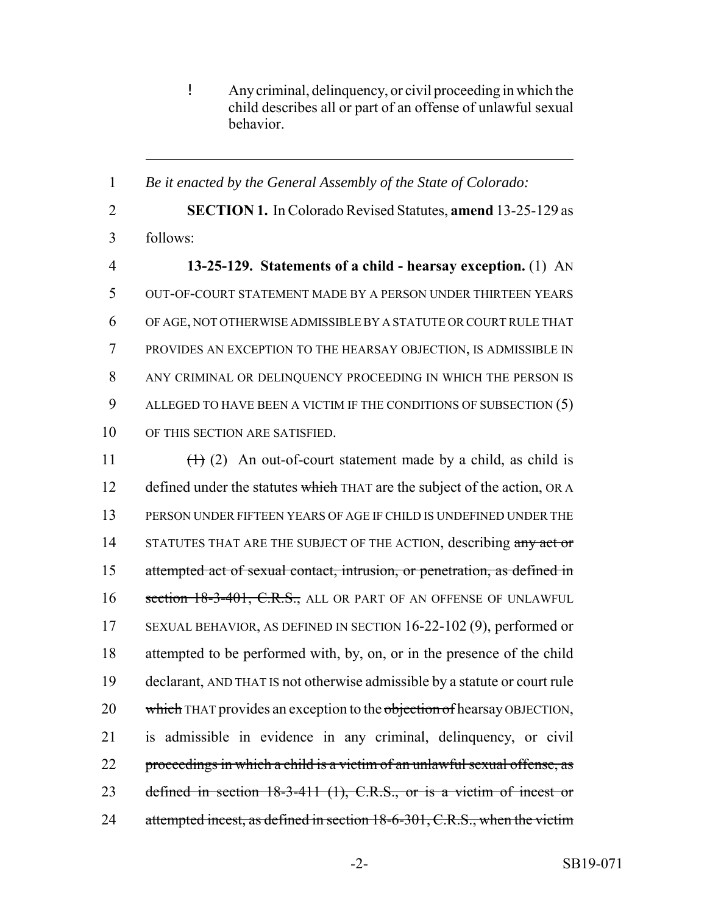! Any criminal, delinquency, or civil proceeding in which the child describes all or part of an offense of unlawful sexual behavior.

 *Be it enacted by the General Assembly of the State of Colorado:* **SECTION 1.** In Colorado Revised Statutes, **amend** 13-25-129 as 3 follows: **13-25-129. Statements of a child - hearsay exception.** (1) AN OUT-OF-COURT STATEMENT MADE BY A PERSON UNDER THIRTEEN YEARS OF AGE, NOT OTHERWISE ADMISSIBLE BY A STATUTE OR COURT RULE THAT PROVIDES AN EXCEPTION TO THE HEARSAY OBJECTION, IS ADMISSIBLE IN ANY CRIMINAL OR DELINQUENCY PROCEEDING IN WHICH THE PERSON IS ALLEGED TO HAVE BEEN A VICTIM IF THE CONDITIONS OF SUBSECTION (5) OF THIS SECTION ARE SATISFIED.

11  $(1)$  (1) (2) An out-of-court statement made by a child, as child is 12 defined under the statutes which THAT are the subject of the action, OR A 13 PERSON UNDER FIFTEEN YEARS OF AGE IF CHILD IS UNDEFINED UNDER THE 14 STATUTES THAT ARE THE SUBJECT OF THE ACTION, describing any act or 15 attempted act of sexual contact, intrusion, or penetration, as defined in 16 section 18-3-401, C.R.S., ALL OR PART OF AN OFFENSE OF UNLAWFUL 17 SEXUAL BEHAVIOR, AS DEFINED IN SECTION 16-22-102 (9), performed or 18 attempted to be performed with, by, on, or in the presence of the child 19 declarant, AND THAT IS not otherwise admissible by a statute or court rule 20 which THAT provides an exception to the objection of hearsay OBJECTION, 21 is admissible in evidence in any criminal, delinquency, or civil 22 proceedings in which a child is a victim of an unlawful sexual offense, as 23 defined in section 18-3-411 (1), C.R.S., or is a victim of incest or 24 attempted incest, as defined in section 18-6-301, C.R.S., when the victim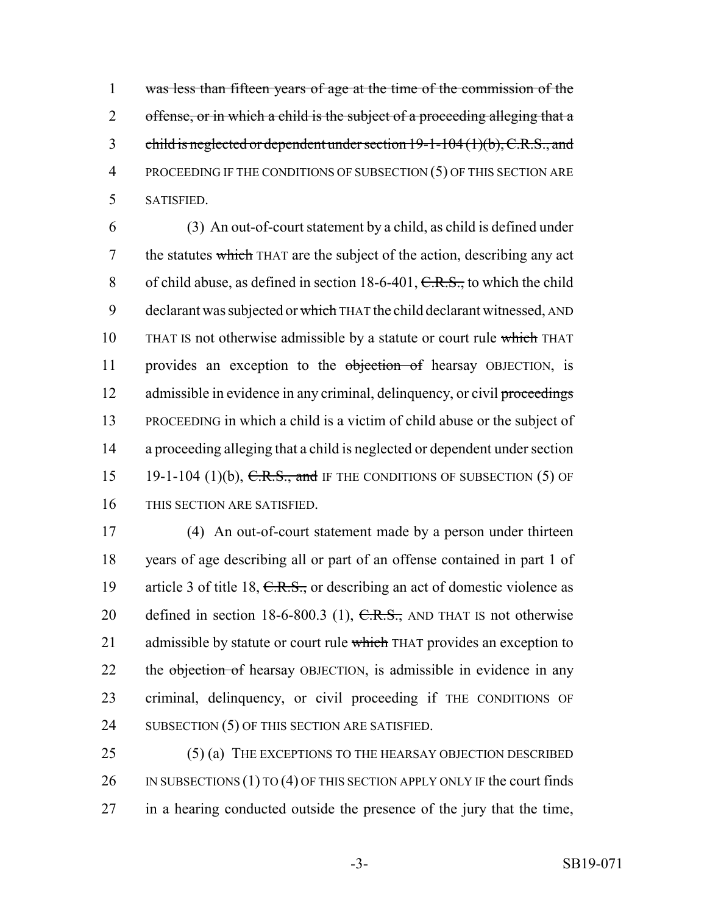1 was less than fifteen years of age at the time of the commission of the 2 offense, or in which a child is the subject of a proceeding alleging that a 3 child is neglected or dependent under section 19-1-104 (1)(b), C.R.S., and 4 PROCEEDING IF THE CONDITIONS OF SUBSECTION (5) OF THIS SECTION ARE 5 SATISFIED.

6 (3) An out-of-court statement by a child, as child is defined under 7 the statutes which THAT are the subject of the action, describing any act 8 of child abuse, as defined in section  $18-6-401$ ,  $C.R.S.,$  to which the child 9 declarant was subjected or which THAT the child declarant witnessed, AND 10 THAT IS not otherwise admissible by a statute or court rule which THAT 11 provides an exception to the objection of hearsay OBJECTION, is 12 admissible in evidence in any criminal, delinquency, or civil proceedings 13 PROCEEDING in which a child is a victim of child abuse or the subject of 14 a proceeding alleging that a child is neglected or dependent under section 15 19-1-104 (1)(b),  $C.R.S.,$  and IF THE CONDITIONS OF SUBSECTION (5) OF 16 THIS SECTION ARE SATISFIED.

17 (4) An out-of-court statement made by a person under thirteen 18 years of age describing all or part of an offense contained in part 1 of 19 article 3 of title 18, C.R.S., or describing an act of domestic violence as 20 defined in section 18-6-800.3 (1),  $C.R.S.,$  AND THAT IS not otherwise 21 admissible by statute or court rule which THAT provides an exception to 22 the objection of hearsay OBJECTION, is admissible in evidence in any 23 criminal, delinquency, or civil proceeding if THE CONDITIONS OF 24 SUBSECTION (5) OF THIS SECTION ARE SATISFIED.

25 (5) (a) THE EXCEPTIONS TO THE HEARSAY OBJECTION DESCRIBED 26 IN SUBSECTIONS (1) TO (4) OF THIS SECTION APPLY ONLY IF the court finds 27 in a hearing conducted outside the presence of the jury that the time,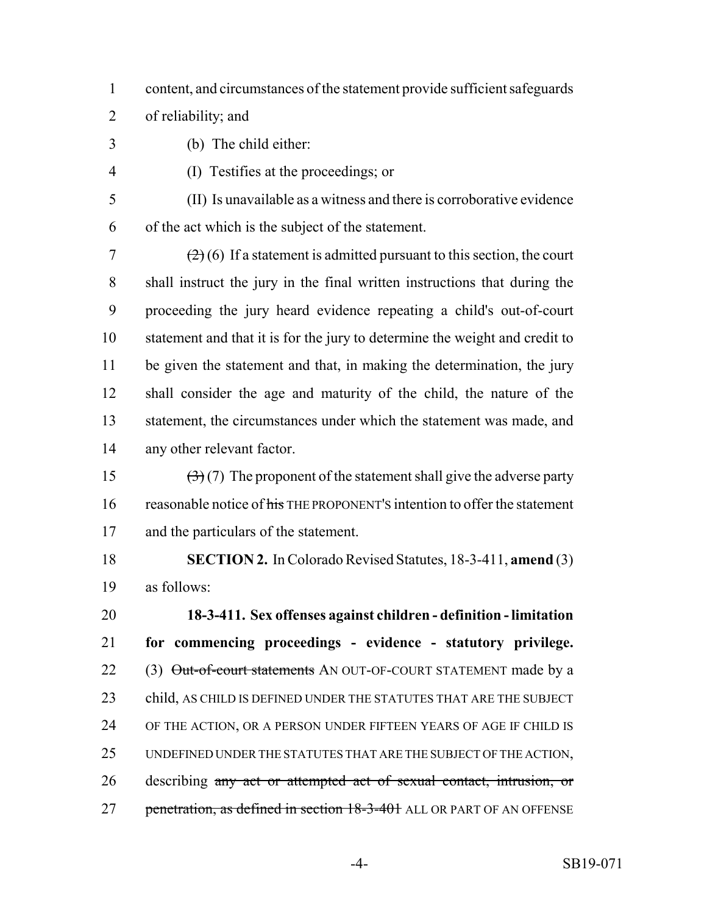- content, and circumstances of the statement provide sufficient safeguards
- of reliability; and
- (b) The child either:
- 
- (I) Testifies at the proceedings; or

 (II) Is unavailable as a witness and there is corroborative evidence of the act which is the subject of the statement.

 $\left( \frac{2}{2} \right)$  (6) If a statement is admitted pursuant to this section, the court shall instruct the jury in the final written instructions that during the proceeding the jury heard evidence repeating a child's out-of-court statement and that it is for the jury to determine the weight and credit to 11 be given the statement and that, in making the determination, the jury shall consider the age and maturity of the child, the nature of the statement, the circumstances under which the statement was made, and any other relevant factor.

15  $(3)(7)$  The proponent of the statement shall give the adverse party 16 reasonable notice of his THE PROPONENT'S intention to offer the statement and the particulars of the statement.

 **SECTION 2.** In Colorado Revised Statutes, 18-3-411, **amend** (3) as follows:

 **18-3-411. Sex offenses against children - definition - limitation for commencing proceedings - evidence - statutory privilege.** 22 (3) Out-of-court statements AN OUT-OF-COURT STATEMENT made by a 23 child, AS CHILD IS DEFINED UNDER THE STATUTES THAT ARE THE SUBJECT OF THE ACTION, OR A PERSON UNDER FIFTEEN YEARS OF AGE IF CHILD IS UNDEFINED UNDER THE STATUTES THAT ARE THE SUBJECT OF THE ACTION, describing any act or attempted act of sexual contact, intrusion, or 27 penetration, as defined in section 18-3-401 ALL OR PART OF AN OFFENSE